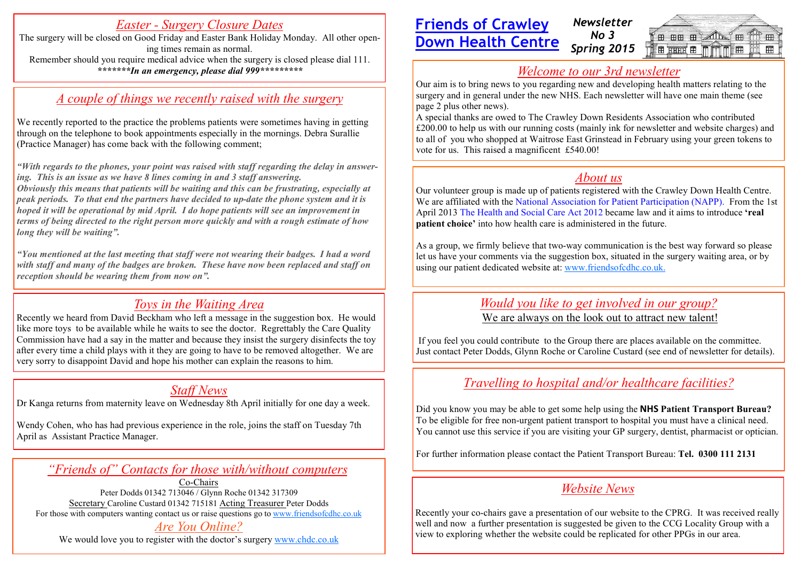## *Easter - Surgery Closure Dates*

The surgery will be closed on Good Friday and Easter Bank Holiday Monday. All other opening times remain as normal. Remember should you require medical advice when the surgery is closed please dial 111. *\*\*\*\*\*\*\*In an emergency, please dial 999\*\*\*\*\*\*\*\*\**

### *A couple of things we recently raised with the surgery*

We recently reported to the practice the problems patients were sometimes having in getting through on the telephone to book appointments especially in the mornings. Debra Surallie (Practice Manager) has come back with the following comment;

*"With regards to the phones, your point was raised with staff regarding the delay in answering. This is an issue as we have 8 lines coming in and 3 staff answering. Obviously this means that patients will be waiting and this can be frustrating, especially at peak periods. To that end the partners have decided to up-date the phone system and it is hoped it will be operational by mid April. I do hope patients will see an improvement in terms of being directed to the right person more quickly and with a rough estimate of how long they will be waiting".*

*"You mentioned at the last meeting that staff were not wearing their badges. I had a word with staff and many of the badges are broken. These have now been replaced and staff on reception should be wearing them from now on".*

## *Toys in the Waiting Area*

Recently we heard from David Beckham who left a message in the suggestion box. He would like more toys to be available while he waits to see the doctor. Regrettably the Care Quality Commission have had a say in the matter and because they insist the surgery disinfects the toy after every time a child plays with it they are going to have to be removed altogether. We are very sorry to disappoint David and hope his mother can explain the reasons to him.

# *Staff News*

Dr Kanga returns from maternity leave on Wednesday 8th April initially for one day a week.

Wendy Cohen, who has had previous experience in the role, joins the staff on Tuesday 7th April as Assistant Practice Manager.

#### *"Friends of" Contacts for those with/without computers*

Co-Chairs Peter Dodds 01342 713046 / Glynn Roche 01342 317309 Secretary Caroline Custard 01342 715181 Acting Treasurer Peter Dodds For those with computers wanting contact us or raise questions go to [www.friendsofcdhc.co.uk](http://www.friendsofcdhc.co.uk) *Are You Online?* 

We would love you to register with the doctor's surgery [www.chdc.co.uk](http://www.chdc.co.uk)

#### **Friends of Crawley Down Health Centre**  *Newsletter No 3 Spring 2015*



# *Welcome to our 3rd newsletter*

Our aim is to bring news to you regarding new and developing health matters relating to the surgery and in general under the new NHS. Each newsletter will have one main theme (see page 2 plus other news).

A special thanks are owed to The Crawley Down Residents Association who contributed £200.00 to help us with our running costs (mainly ink for newsletter and website charges) and to all of you who shopped at Waitrose East Grinstead in February using your green tokens to vote for us. This raised a magnificent £540.00!

# *About us*

Our volunteer group is made up of patients registered with the Crawley Down Health Centre. We are affiliated with the [National Association for Patient Participation](http://www.napp.org.uk/) (NAPP). From the 1st April 2013 [The Health and Social Care Act 2012](http://www.dh.gov.uk/health/files/2012/06/A1.-Factsheet-Overview-240412.pdf) became law and it aims to introduce **'real patient choice'** into how health care is administered in the future.

As a group, we firmly believe that two-way communication is the best way forward so please let us have your comments via the suggestion box, situated in the surgery waiting area, or by using our patient dedicated website at: [www.friendsofcdhc.co.uk.](http://www.friendsofcdhc.co.uk.)

## *Would you like to get involved in our group?*

We are always on the look out to attract new talent!

If you feel you could contribute to the Group there are places available on the committee. Just contact Peter Dodds, Glynn Roche or Caroline Custard (see end of newsletter for details).

# *Travelling to hospital and/or healthcare facilities?*

Did you know you may be able to get some help using the **NHS Patient Transport Bureau?** To be eligible for free non-urgent patient transport to hospital you must have a clinical need. You cannot use this service if you are visiting your GP surgery, dentist, pharmacist or optician.

For further information please contact the Patient Transport Bureau: **Tel. 0300 111 2131**

# *Website News*

Recently your co-chairs gave a presentation of our website to the CPRG. It was received really well and now a further presentation is suggested be given to the CCG Locality Group with a view to exploring whether the website could be replicated for other PPGs in our area.